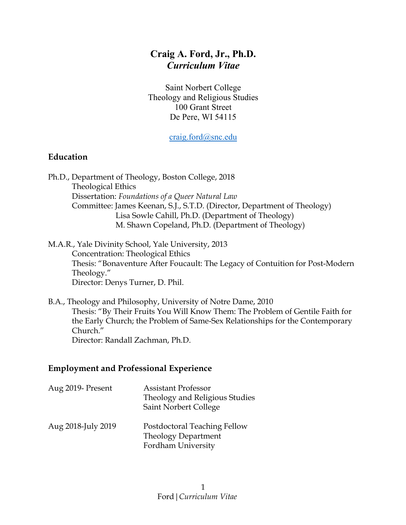# **Craig A. Ford, Jr., Ph.D.** *Curriculum Vitae*

Saint Norbert College Theology and Religious Studies 100 Grant Street De Pere, WI 54115

craig.ford@snc.edu

#### **Education**

Ph.D., Department of Theology, Boston College, 2018 Theological Ethics Dissertation: *Foundations of a Queer Natural Law* Committee: James Keenan, S.J., S.T.D. (Director, Department of Theology) Lisa Sowle Cahill, Ph.D. (Department of Theology) M. Shawn Copeland, Ph.D. (Department of Theology)

M.A.R., Yale Divinity School, Yale University, 2013 Concentration: Theological Ethics Thesis: "Bonaventure After Foucault: The Legacy of Contuition for Post-Modern Theology." Director: Denys Turner, D. Phil.

B.A., Theology and Philosophy, University of Notre Dame, 2010 Thesis: "By Their Fruits You Will Know Them: The Problem of Gentile Faith for the Early Church; the Problem of Same-Sex Relationships for the Contemporary Church." Director: Randall Zachman, Ph.D.

#### **Employment and Professional Experience**

| Aug 2019- Present  | <b>Assistant Professor</b><br>Theology and Religious Studies<br>Saint Norbert College |
|--------------------|---------------------------------------------------------------------------------------|
| Aug 2018-July 2019 | Postdoctoral Teaching Fellow<br><b>Theology Department</b><br>Fordham University      |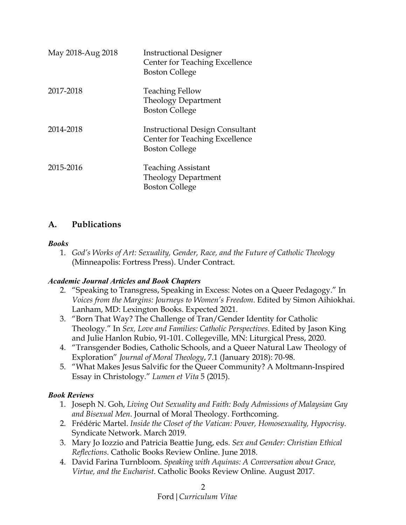| May 2018-Aug 2018 | <b>Instructional Designer</b><br>Center for Teaching Excellence<br><b>Boston College</b>                 |
|-------------------|----------------------------------------------------------------------------------------------------------|
| 2017-2018         | <b>Teaching Fellow</b><br><b>Theology Department</b><br><b>Boston College</b>                            |
| 2014-2018         | <b>Instructional Design Consultant</b><br><b>Center for Teaching Excellence</b><br><b>Boston College</b> |
| 2015-2016         | <b>Teaching Assistant</b><br><b>Theology Department</b><br><b>Boston College</b>                         |

### **A. Publications**

#### *Books*

1. *God's Works of Art: Sexuality, Gender, Race, and the Future of Catholic Theology* (Minneapolis: Fortress Press). Under Contract.

#### *Academic Journal Articles and Book Chapters*

- 2. "Speaking to Transgress, Speaking in Excess: Notes on a Queer Pedagogy." In *Voices from the Margins: Journeys to Women's Freedom*. Edited by Simon Aihiokhai. Lanham, MD: Lexington Books. Expected 2021.
- 3. "Born That Way? The Challenge of Tran/Gender Identity for Catholic Theology." In *Sex, Love and Families: Catholic Perspectives*. Edited by Jason King and Julie Hanlon Rubio, 91-101. Collegeville, MN: Liturgical Press, 2020.
- 4. "Transgender Bodies, Catholic Schools, and a Queer Natural Law Theology of Exploration" *Journal of Moral Theology*, 7.1 (January 2018): 70-98.
- 5. "What Makes Jesus Salvific for the Queer Community? A Moltmann-Inspired Essay in Christology." *Lumen et Vita* 5 (2015).

#### *Book Reviews*

- 1. Joseph N. Goh, *Living Out Sexuality and Faith: Body Admissions of Malaysian Gay and Bisexual Men*. Journal of Moral Theology. Forthcoming.
- 2. Frédéric Martel. *Inside the Closet of the Vatican: Power, Homosexuality, Hypocrisy*. Syndicate Network. March 2019.
- 3. Mary Jo Iozzio and Patricia Beattie Jung, eds. *Sex and Gender: Christian Ethical Reflections*. Catholic Books Review Online. June 2018.
- 4. David Farina Turnbloom. *Speaking with Aquinas: A Conversation about Grace, Virtue, and the Eucharist*. Catholic Books Review Online. August 2017.

#### Ford|*Curriculum Vitae* 2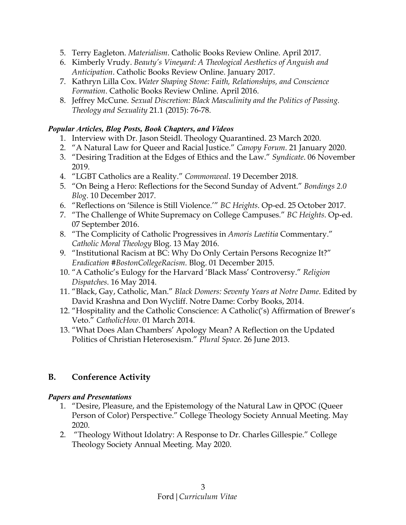- 5. Terry Eagleton. *Materialism*. Catholic Books Review Online. April 2017.
- 6. Kimberly Vrudy. *Beauty's Vineyard: A Theological Aesthetics of Anguish and Anticipation*. Catholic Books Review Online. January 2017.
- 7. Kathryn Lilla Cox. *Water Shaping Stone: Faith, Relationships, and Conscience Formation*. Catholic Books Review Online. April 2016.
- 8. Jeffrey McCune. *Sexual Discretion: Black Masculinity and the Politics of Passing. Theology and Sexuality* 21.1 (2015): 76-78.

#### *Popular Articles, Blog Posts, Book Chapters, and Videos*

- 1. Interview with Dr. Jason Steidl. Theology Quarantined. 23 March 2020.
- 2. "A Natural Law for Queer and Racial Justice." *Canopy Forum*. 21 January 2020.
- 3. "Desiring Tradition at the Edges of Ethics and the Law." *Syndicate*. 06 November 2019.
- 4. "LGBT Catholics are a Reality." *Commonweal*. 19 December 2018.
- 5. "On Being a Hero: Reflections for the Second Sunday of Advent." *Bondings 2.0 Blog*. 10 December 2017.
- 6. "Reflections on 'Silence is Still Violence.'" *BC Heights*. Op-ed. 25 October 2017.
- 7. "The Challenge of White Supremacy on College Campuses." *BC Heights*. Op-ed. 07 September 2016.
- 8. "The Complicity of Catholic Progressives in *Amoris Laetitia* Commentary." *Catholic Moral Theology* Blog. 13 May 2016.
- 9. "Institutional Racism at BC: Why Do Only Certain Persons Recognize It?" *Eradication #BostonCollegeRacism*. Blog. 01 December 2015.
- 10. "A Catholic's Eulogy for the Harvard 'Black Mass' Controversy." *Religion Dispatches*. 16 May 2014.
- 11. "Black, Gay, Catholic, Man." *Black Domers: Seventy Years at Notre Dame*. Edited by David Krashna and Don Wycliff. Notre Dame: Corby Books, 2014.
- 12. "Hospitality and the Catholic Conscience: A Catholic('s) Affirmation of Brewer's Veto." *CatholicHow*. 01 March 2014.
- 13. "What Does Alan Chambers' Apology Mean? A Reflection on the Updated Politics of Christian Heterosexism." *Plural Space*. 26 June 2013.

# **B. Conference Activity**

#### *Papers and Presentations*

- 1. "Desire, Pleasure, and the Epistemology of the Natural Law in QPOC (Queer Person of Color) Perspective." College Theology Society Annual Meeting. May 2020.
- 2. "Theology Without Idolatry: A Response to Dr. Charles Gillespie." College Theology Society Annual Meeting. May 2020.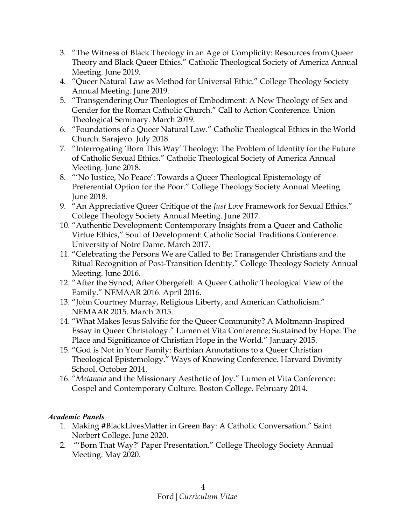- 3. "The Witness of Black Theology in an Age of Complicity: Resources from Queer Theory and Black Queer Ethics." Catholic Theological Society of America Annual Meeting. June 2019.
- 4. "Queer Natural Law as Method for Universal Ethic." College Theology Society Annual Meeting. June 2019.
- 5. "Transgendering Our Theologies of Embodiment: A New Theology of Sex and Gender for the Roman Catholic Church." Call to Action Conference. Union Theological Seminary. March 2019.
- 6. "Foundations of a Queer Natural Law." Catholic Theological Ethics in the World Church. Sarajevo. July 2018.
- 7. "Interrogating 'Born This Way' Theology: The Problem of Identity for the Future of Catholic Sexual Ethics." Catholic Theological Society of America Annual Meeting. June 2018.
- 8. "'No Justice, No Peace': Towards a Queer Theological Epistemology of Preferential Option for the Poor." College Theology Society Annual Meeting. June 2018.
- 9. "An Appreciative Queer Critique of the *Just Love* Framework for Sexual Ethics." College Theology Society Annual Meeting. June 2017.
- 10. "Authentic Development: Contemporary Insights from a Queer and Catholic Virtue Ethics," Soul of Development: Catholic Social Traditions Conference. University of Notre Dame. March 2017.
- 11. "Celebrating the Persons We are Called to Be: Transgender Christians and the Ritual Recognition of Post-Transition Identity," College Theology Society Annual Meeting. June 2016.
- 12. "After the Synod; After Obergefell: A Queer Catholic Theological View of the Family." NEMAAR 2016. April 2016.
- 13. "John Courtney Murray, Religious Liberty, and American Catholicism." NEMAAR 2015. March 2015.
- 14. "What Makes Jesus Salvific for the Queer Community? A Moltmann-Inspired Essay in Queer Christology." Lumen et Vita Conference; Sustained by Hope: The Place and Significance of Christian Hope in the World." January 2015.
- 15. "God is Not in Your Family: Barthian Annotations to a Queer Christian Theological Epistemology." Ways of Knowing Conference. Harvard Divinity School. October 2014.
- 16. "*Metanoia* and the Missionary Aesthetic of Joy." Lumen et Vita Conference: Gospel and Contemporary Culture. Boston College. February 2014.

#### *Academic Panels*

- 1. Making #BlackLivesMatter in Green Bay: A Catholic Conversation." Saint Norbert College. June 2020.
- 2. "'Born That Way?' Paper Presentation." College Theology Society Annual Meeting. May 2020.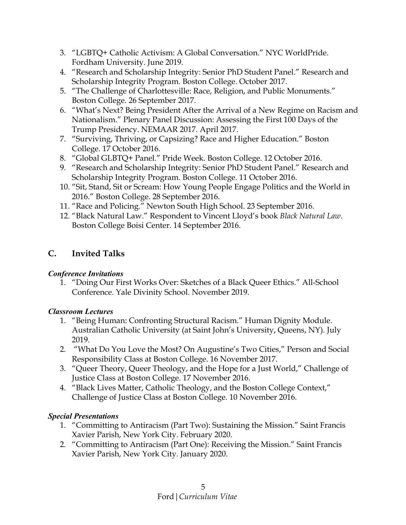- 3. "LGBTQ+ Catholic Activism: A Global Conversation." NYC WorldPride. Fordham University. June 2019.
- 4. "Research and Scholarship Integrity: Senior PhD Student Panel." Research and Scholarship Integrity Program. Boston College. October 2017.
- 5. "The Challenge of Charlottesville: Race, Religion, and Public Monuments." Boston College. 26 September 2017.
- 6. "What's Next? Being President After the Arrival of a New Regime on Racism and Nationalism." Plenary Panel Discussion: Assessing the First 100 Days of the Trump Presidency. NEMAAR 2017. April 2017.
- 7. "Surviving, Thriving, or Capsizing? Race and Higher Education." Boston College. 17 October 2016.
- 8. "Global GLBTQ+ Panel." Pride Week. Boston College. 12 October 2016.
- 9. "Research and Scholarship Integrity: Senior PhD Student Panel." Research and Scholarship Integrity Program. Boston College. 11 October 2016.
- 10. "Sit, Stand, Sit or Scream: How Young People Engage Politics and the World in 2016." Boston College. 28 September 2016.
- 11. "Race and Policing." Newton South High School. 23 September 2016.
- 12. "Black Natural Law." Respondent to Vincent Lloyd's book *Black Natural Law*. Boston College Boisi Center. 14 September 2016.

# **C. Invited Talks**

# *Conference Invitations*

1. "Doing Our First Works Over: Sketches of a Black Queer Ethics." All-School Conference. Yale Divinity School. November 2019.

# *Classroom Lectures*

- 1. "Being Human: Confronting Structural Racism." Human Dignity Module. Australian Catholic University (at Saint John's University, Queens, NY). July 2019.
- 2. "What Do You Love the Most? On Augustine's Two Cities," Person and Social Responsibility Class at Boston College. 16 November 2017.
- 3. "Queer Theory, Queer Theology, and the Hope for a Just World," Challenge of Justice Class at Boston College. 17 November 2016.
- 4. "Black Lives Matter, Catholic Theology, and the Boston College Context," Challenge of Justice Class at Boston College. 10 November 2016.

# *Special Presentations*

- 1. "Committing to Antiracism (Part Two): Sustaining the Mission." Saint Francis Xavier Parish, New York City. February 2020.
- 2. "Committing to Antiracism (Part One): Receiving the Mission." Saint Francis Xavier Parish, New York City. January 2020.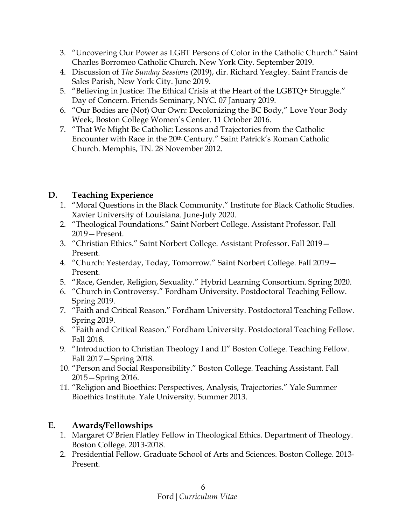- 3. "Uncovering Our Power as LGBT Persons of Color in the Catholic Church." Saint Charles Borromeo Catholic Church. New York City. September 2019.
- 4. Discussion of *The Sunday Sessions* (2019), dir. Richard Yeagley. Saint Francis de Sales Parish, New York City. June 2019.
- 5. "Believing in Justice: The Ethical Crisis at the Heart of the LGBTQ+ Struggle." Day of Concern. Friends Seminary, NYC. 07 January 2019.
- 6. "Our Bodies are (Not) Our Own: Decolonizing the BC Body," Love Your Body Week, Boston College Women's Center. 11 October 2016.
- 7. "That We Might Be Catholic: Lessons and Trajectories from the Catholic Encounter with Race in the 20th Century." Saint Patrick's Roman Catholic Church. Memphis, TN. 28 November 2012.

# **D. Teaching Experience**

- 1. "Moral Questions in the Black Community." Institute for Black Catholic Studies. Xavier University of Louisiana. June-July 2020.
- 2. "Theological Foundations." Saint Norbert College. Assistant Professor. Fall 2019—Present.
- 3. "Christian Ethics." Saint Norbert College. Assistant Professor. Fall 2019— Present.
- 4. "Church: Yesterday, Today, Tomorrow." Saint Norbert College. Fall 2019— Present.
- 5. "Race, Gender, Religion, Sexuality." Hybrid Learning Consortium. Spring 2020.
- 6. "Church in Controversy." Fordham University. Postdoctoral Teaching Fellow. Spring 2019.
- 7. "Faith and Critical Reason." Fordham University. Postdoctoral Teaching Fellow. Spring 2019.
- 8. "Faith and Critical Reason." Fordham University. Postdoctoral Teaching Fellow. Fall 2018.
- 9. "Introduction to Christian Theology I and II" Boston College. Teaching Fellow. Fall 2017—Spring 2018.
- 10. "Person and Social Responsibility." Boston College. Teaching Assistant. Fall 2015—Spring 2016.
- 11. "Religion and Bioethics: Perspectives, Analysis, Trajectories." Yale Summer Bioethics Institute. Yale University. Summer 2013.

# **E. Awards/Fellowships**

- 1. Margaret O'Brien Flatley Fellow in Theological Ethics. Department of Theology. Boston College. 2013-2018.
- 2. Presidential Fellow. Graduate School of Arts and Sciences. Boston College. 2013- Present.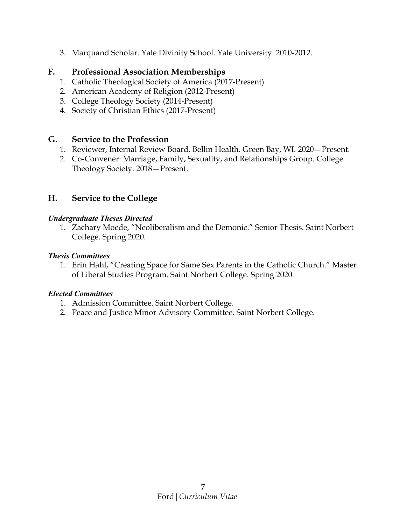3. Marquand Scholar. Yale Divinity School. Yale University. 2010-2012.

### **F. Professional Association Memberships**

- 1. Catholic Theological Society of America (2017-Present)
- 2. American Academy of Religion (2012-Present)
- 3. College Theology Society (2014-Present)
- 4. Society of Christian Ethics (2017-Present)

### **G. Service to the Profession**

- 1. Reviewer, Internal Review Board. Bellin Health. Green Bay, WI. 2020—Present.
- 2. Co-Convener: Marriage, Family, Sexuality, and Relationships Group. College Theology Society. 2018—Present.

### **H. Service to the College**

#### *Undergraduate Theses Directed*

1. Zachary Moede, "Neoliberalism and the Demonic." Senior Thesis. Saint Norbert College. Spring 2020.

#### *Thesis Committees*

1. Erin Hahl, "Creating Space for Same Sex Parents in the Catholic Church." Master of Liberal Studies Program. Saint Norbert College. Spring 2020.

### *Elected Committees*

- 1. Admission Committee. Saint Norbert College.
- 2. Peace and Justice Minor Advisory Committee. Saint Norbert College.